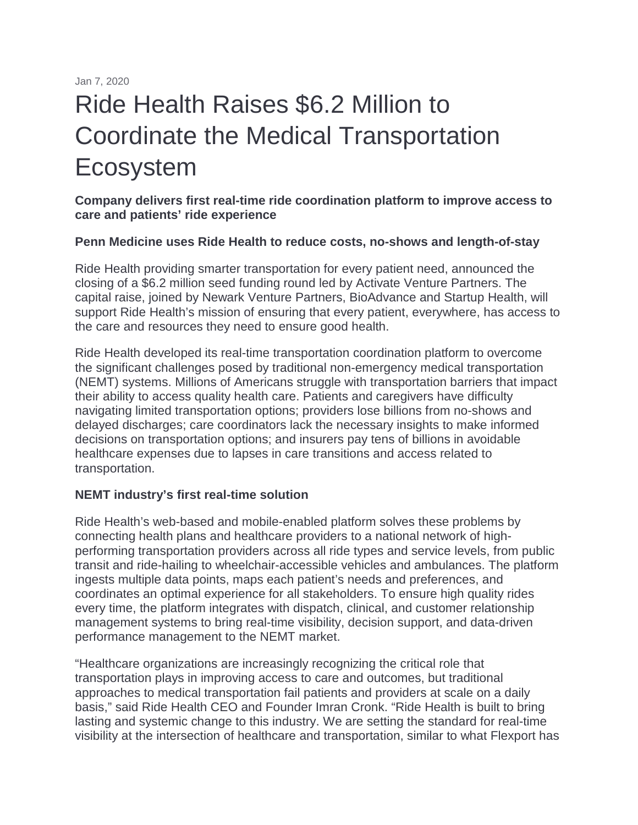Jan 7, 2020

# Ride Health Raises \$6.2 Million to Coordinate the Medical Transportation Ecosystem

**Company delivers first real-time ride coordination platform to improve access to care and patients' ride experience**

#### **Penn Medicine uses Ride Health to reduce costs, no-shows and length-of-stay**

Ride Health providing smarter transportation for every patient need, announced the closing of a \$6.2 million seed funding round led by Activate Venture Partners. The capital raise, joined by Newark Venture Partners, BioAdvance and Startup Health, will support Ride Health's mission of ensuring that every patient, everywhere, has access to the care and resources they need to ensure good health.

Ride Health developed its real-time transportation coordination platform to overcome the significant challenges posed by traditional non-emergency medical transportation (NEMT) systems. Millions of Americans struggle with transportation barriers that impact their ability to access quality health care. Patients and caregivers have difficulty navigating limited transportation options; providers lose billions from no-shows and delayed discharges; care coordinators lack the necessary insights to make informed decisions on transportation options; and insurers pay tens of billions in avoidable healthcare expenses due to lapses in care transitions and access related to transportation.

#### **NEMT industry's first real-time solution**

Ride Health's web-based and mobile-enabled platform solves these problems by connecting health plans and healthcare providers to a national network of highperforming transportation providers across all ride types and service levels, from public transit and ride-hailing to wheelchair-accessible vehicles and ambulances. The platform ingests multiple data points, maps each patient's needs and preferences, and coordinates an optimal experience for all stakeholders. To ensure high quality rides every time, the platform integrates with dispatch, clinical, and customer relationship management systems to bring real-time visibility, decision support, and data-driven performance management to the NEMT market.

"Healthcare organizations are increasingly recognizing the critical role that transportation plays in improving access to care and outcomes, but traditional approaches to medical transportation fail patients and providers at scale on a daily basis," said Ride Health CEO and Founder Imran Cronk. "Ride Health is built to bring lasting and systemic change to this industry. We are setting the standard for real-time visibility at the intersection of healthcare and transportation, similar to what Flexport has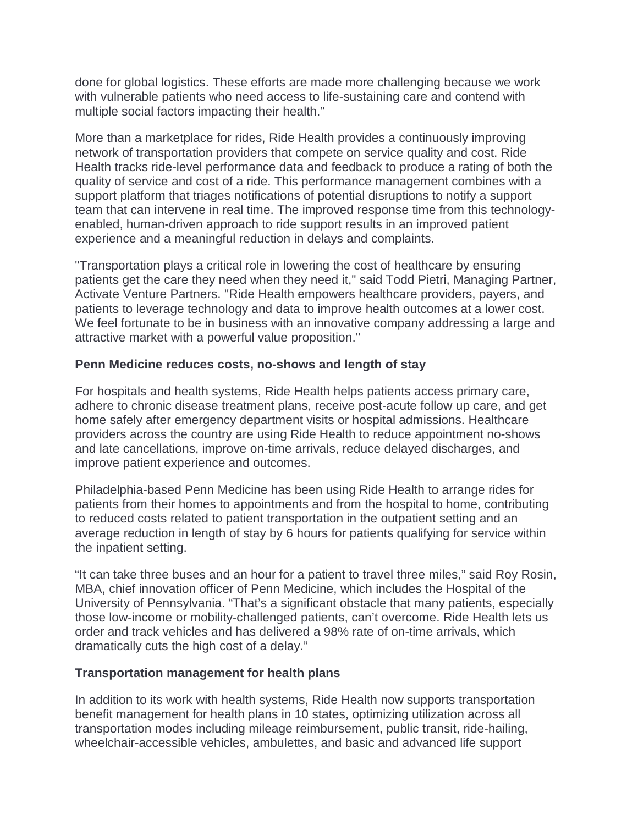done for global logistics. These efforts are made more challenging because we work with vulnerable patients who need access to life-sustaining care and contend with multiple social factors impacting their health."

More than a marketplace for rides, Ride Health provides a continuously improving network of transportation providers that compete on service quality and cost. Ride Health tracks ride-level performance data and feedback to produce a rating of both the quality of service and cost of a ride. This performance management combines with a support platform that triages notifications of potential disruptions to notify a support team that can intervene in real time. The improved response time from this technologyenabled, human-driven approach to ride support results in an improved patient experience and a meaningful reduction in delays and complaints.

"Transportation plays a critical role in lowering the cost of healthcare by ensuring patients get the care they need when they need it," said Todd Pietri, Managing Partner, Activate Venture Partners. "Ride Health empowers healthcare providers, payers, and patients to leverage technology and data to improve health outcomes at a lower cost. We feel fortunate to be in business with an innovative company addressing a large and attractive market with a powerful value proposition."

## **Penn Medicine reduces costs, no-shows and length of stay**

For hospitals and health systems, Ride Health helps patients access primary care, adhere to chronic disease treatment plans, receive post-acute follow up care, and get home safely after emergency department visits or hospital admissions. Healthcare providers across the country are using Ride Health to reduce appointment no-shows and late cancellations, improve on-time arrivals, reduce delayed discharges, and improve patient experience and outcomes.

Philadelphia-based Penn Medicine has been using Ride Health to arrange rides for patients from their homes to appointments and from the hospital to home, contributing to reduced costs related to patient transportation in the outpatient setting and an average reduction in length of stay by 6 hours for patients qualifying for service within the inpatient setting.

"It can take three buses and an hour for a patient to travel three miles," said Roy Rosin, MBA, chief innovation officer of Penn Medicine, which includes the Hospital of the University of Pennsylvania. "That's a significant obstacle that many patients, especially those low-income or mobility-challenged patients, can't overcome. Ride Health lets us order and track vehicles and has delivered a 98% rate of on-time arrivals, which dramatically cuts the high cost of a delay."

### **Transportation management for health plans**

In addition to its work with health systems, Ride Health now supports transportation benefit management for health plans in 10 states, optimizing utilization across all transportation modes including mileage reimbursement, public transit, ride-hailing, wheelchair-accessible vehicles, ambulettes, and basic and advanced life support